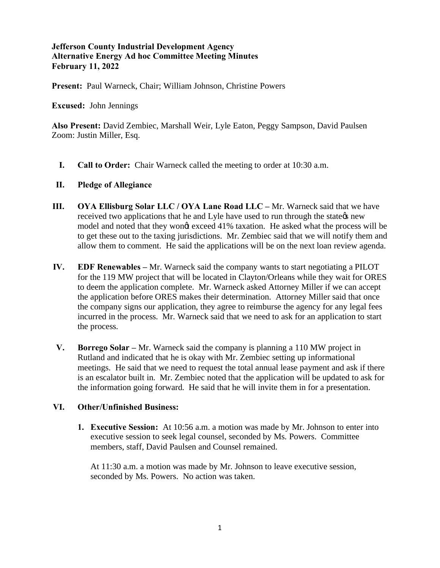## **Jefferson County Industrial Development Agency Alternative Energy Ad hoc Committee Meeting Minutes February 11, 2022**

**Present:** Paul Warneck, Chair; William Johnson, Christine Powers

**Excused:** John Jennings

**Also Present:** David Zembiec, Marshall Weir, Lyle Eaton, Peggy Sampson, David Paulsen Zoom: Justin Miller, Esq.

**I. Call to Order:** Chair Warneck called the meeting to order at 10:30 a.m.

## **II. Pledge of Allegiance**

- **III. OYA Ellisburg Solar LLC / OYA Lane Road LLC –** Mr. Warneck said that we have received two applications that he and Lyle have used to run through the state the space model and noted that they wongt exceed 41% taxation. He asked what the process will be to get these out to the taxing jurisdictions. Mr. Zembiec said that we will notify them and allow them to comment. He said the applications will be on the next loan review agenda.
- **IV. EDF Renewables –** Mr. Warneck said the company wants to start negotiating a PILOT for the 119 MW project that will be located in Clayton/Orleans while they wait for ORES to deem the application complete. Mr. Warneck asked Attorney Miller if we can accept the application before ORES makes their determination. Attorney Miller said that once the company signs our application, they agree to reimburse the agency for any legal fees incurred in the process. Mr. Warneck said that we need to ask for an application to start the process.
- **V. Borrego Solar –** Mr. Warneck said the company is planning a 110 MW project in Rutland and indicated that he is okay with Mr. Zembiec setting up informational meetings. He said that we need to request the total annual lease payment and ask if there is an escalator built in. Mr. Zembiec noted that the application will be updated to ask for the information going forward. He said that he will invite them in for a presentation.

## **VI. Other/Unfinished Business:**

**1. Executive Session:** At 10:56 a.m. a motion was made by Mr. Johnson to enter into executive session to seek legal counsel, seconded by Ms. Powers. Committee members, staff, David Paulsen and Counsel remained.

At 11:30 a.m. a motion was made by Mr. Johnson to leave executive session, seconded by Ms. Powers. No action was taken.